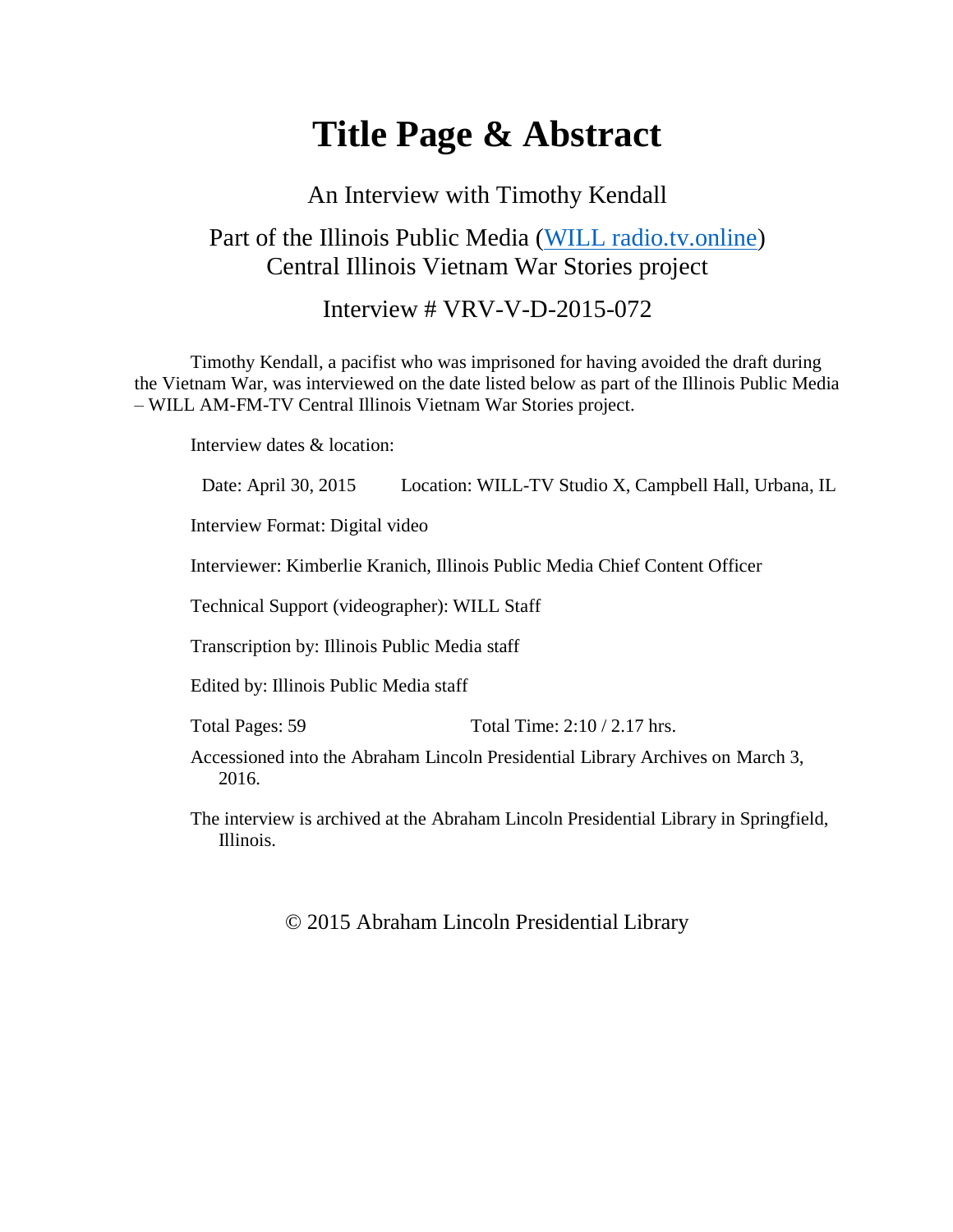# **Title Page & Abstract**

#### An Interview with Timothy Kendall

### Part of the Illinois Public Media [\(WILL radio.tv.online\)](https://will.illinois.edu/vietnam) Central Illinois Vietnam War Stories project

#### Interview # VRV-V-D-2015-072

Timothy Kendall, a pacifist who was imprisoned for having avoided the draft during the Vietnam War, was interviewed on the date listed below as part of the Illinois Public Media – WILL AM-FM-TV Central Illinois Vietnam War Stories project.

Interview dates & location:

Date: April 30, 2015 Location: WILL-TV Studio X, Campbell Hall, Urbana, IL

Interview Format: Digital video

Interviewer: Kimberlie Kranich, Illinois Public Media Chief Content Officer

Technical Support (videographer): WILL Staff

Transcription by: Illinois Public Media staff

Edited by: Illinois Public Media staff

Total Pages: 59 Total Time: 2:10 / 2.17 hrs.

Accessioned into the Abraham Lincoln Presidential Library Archives on March 3, 2016.

The interview is archived at the Abraham Lincoln Presidential Library in Springfield, Illinois.

© 2015 Abraham Lincoln Presidential Library